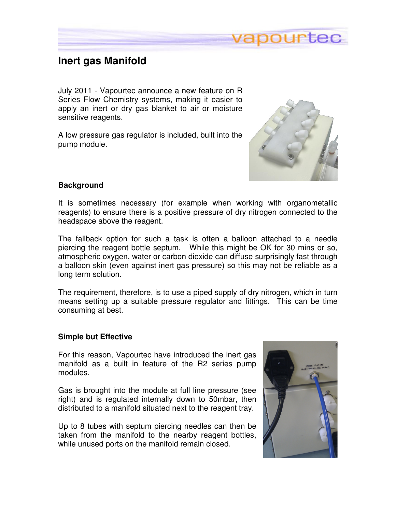

## **Inert gas Manifold**

July 2011 - Vapourtec announce a new feature on R Series Flow Chemistry systems, making it easier to apply an inert or dry gas blanket to air or moisture sensitive reagents.

A low pressure gas regulator is included, built into the pump module.



## **Background**

It is sometimes necessary (for example when working with organometallic reagents) to ensure there is a positive pressure of dry nitrogen connected to the headspace above the reagent.

The fallback option for such a task is often a balloon attached to a needle piercing the reagent bottle septum. While this might be OK for 30 mins or so, atmospheric oxygen, water or carbon dioxide can diffuse surprisingly fast through a balloon skin (even against inert gas pressure) so this may not be reliable as a long term solution.

The requirement, therefore, is to use a piped supply of dry nitrogen, which in turn means setting up a suitable pressure regulator and fittings. This can be time consuming at best.

## **Simple but Effective**

For this reason, Vapourtec have introduced the inert gas manifold as a built in feature of the R2 series pump modules.

Gas is brought into the module at full line pressure (see right) and is regulated internally down to 50mbar, then distributed to a manifold situated next to the reagent tray.

Up to 8 tubes with septum piercing needles can then be taken from the manifold to the nearby reagent bottles, while unused ports on the manifold remain closed.

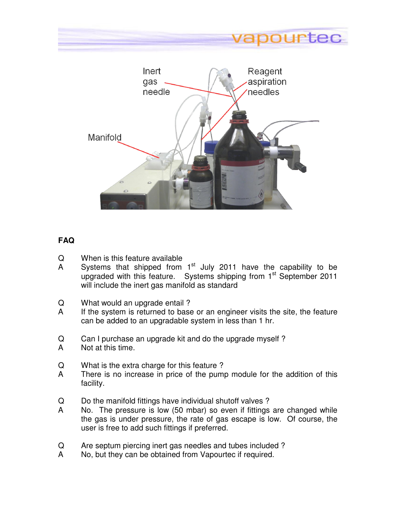



## **FAQ**

- Q When is this feature available
- A Systems that shipped from  $1<sup>st</sup>$  July 2011 have the capability to be upgraded with this feature. Systems shipping from 1<sup>st</sup> September 2011 will include the inert gas manifold as standard
- Q What would an upgrade entail ?
- A If the system is returned to base or an engineer visits the site, the feature can be added to an upgradable system in less than 1 hr.
- Q Can I purchase an upgrade kit and do the upgrade myself ?
- A Not at this time.
- Q What is the extra charge for this feature ?
- A There is no increase in price of the pump module for the addition of this facility.
- Q Do the manifold fittings have individual shutoff valves ?
- A No. The pressure is low (50 mbar) so even if fittings are changed while the gas is under pressure, the rate of gas escape is low. Of course, the user is free to add such fittings if preferred.
- Q Are septum piercing inert gas needles and tubes included ?
- A No, but they can be obtained from Vapourtec if required.